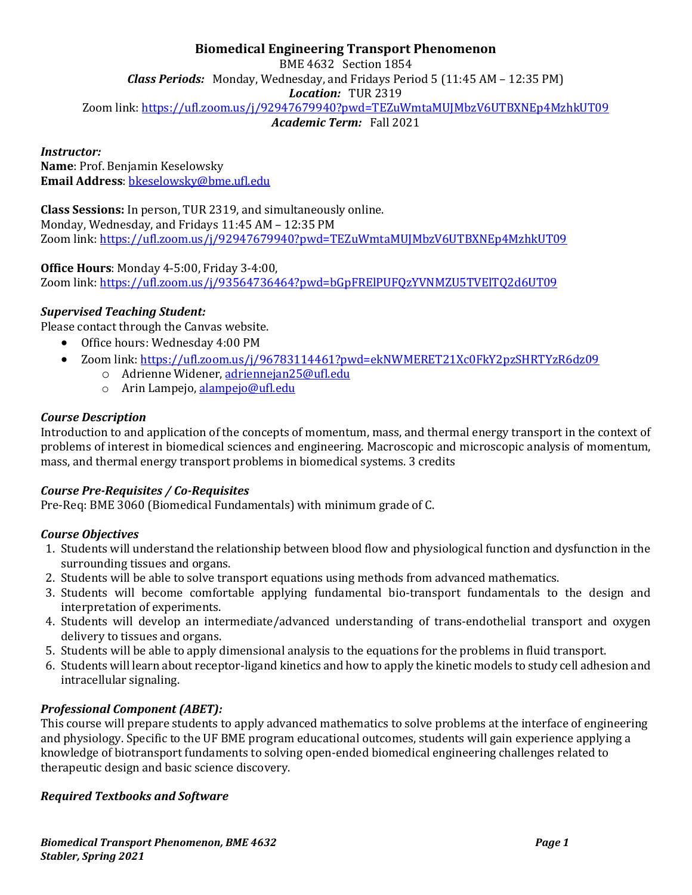# **Biomedical Engineering Transport Phenomenon**

BME 4632 Section 1854 *Class Periods:* Monday, Wednesday, and Fridays Period 5 (11:45 AM – 12:35 PM) *Location:* TUR 2319 Zoom link[: https://ufl.zoom.us/j/92947679940?pwd=TEZuWmtaMUJMbzV6UTBXNEp4MzhkUT09](https://ufl.zoom.us/j/92947679940?pwd=TEZuWmtaMUJMbzV6UTBXNEp4MzhkUT09)

*Academic Term:* Fall 2021

## *Instructor:*

**Name**: Prof. Benjamin Keselowsky **Email Address**: [bkeselowsky@bme.ufl.edu](mailto:bkeselowsky@bme.ufl.edu)

**Class Sessions:** In person, TUR 2319, and simultaneously online. Monday, Wednesday, and Fridays 11:45 AM – 12:35 PM Zoom link[: https://ufl.zoom.us/j/92947679940?pwd=TEZuWmtaMUJMbzV6UTBXNEp4MzhkUT09](https://ufl.zoom.us/j/92947679940?pwd=TEZuWmtaMUJMbzV6UTBXNEp4MzhkUT09)

## **Office Hours**: Monday 4-5:00, Friday 3-4:00,

Zoom link: <https://ufl.zoom.us/j/93564736464?pwd=bGpFRElPUFQzYVNMZU5TVElTQ2d6UT09>

## *Supervised Teaching Student:*

Please contact through the Canvas website.

- Office hours: Wednesday 4:00 PM
- Zoom link: <https://ufl.zoom.us/j/96783114461?pwd=ekNWMERET21Xc0FkY2pzSHRTYzR6dz09>
	- o Adrienne Widener, [adriennejan25@ufl.edu](mailto:adriennejan25@ufl.edu)
	- o Arin Lampejo, [alampejo@ufl.edu](mailto:alampejo@ufl.edu)

#### *Course Description*

Introduction to and application of the concepts of momentum, mass, and thermal energy transport in the context of problems of interest in biomedical sciences and engineering. Macroscopic and microscopic analysis of momentum, mass, and thermal energy transport problems in biomedical systems. 3 credits

## *Course Pre-Requisites / Co-Requisites*

Pre-Req: BME 3060 (Biomedical Fundamentals) with minimum grade of C.

## *Course Objectives*

- 1. Students will understand the relationship between blood flow and physiological function and dysfunction in the surrounding tissues and organs.
- 2. Students will be able to solve transport equations using methods from advanced mathematics.
- 3. Students will become comfortable applying fundamental bio-transport fundamentals to the design and interpretation of experiments.
- 4. Students will develop an intermediate/advanced understanding of trans-endothelial transport and oxygen delivery to tissues and organs.
- 5. Students will be able to apply dimensional analysis to the equations for the problems in fluid transport.
- 6. Students will learn about receptor-ligand kinetics and how to apply the kinetic models to study cell adhesion and intracellular signaling.

## *Professional Component (ABET):*

This course will prepare students to apply advanced mathematics to solve problems at the interface of engineering and physiology. Specific to the UF BME program educational outcomes, students will gain experience applying a knowledge of biotransport fundaments to solving open-ended biomedical engineering challenges related to therapeutic design and basic science discovery.

#### *Required Textbooks and Software*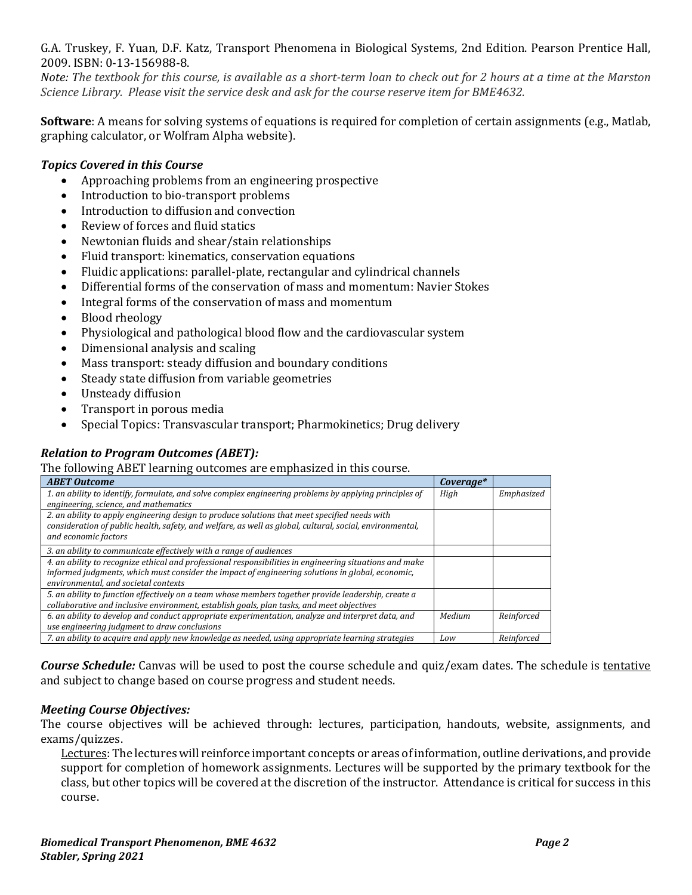G.A. Truskey, F. Yuan, D.F. Katz, Transport Phenomena in Biological Systems, 2nd Edition. Pearson Prentice Hall, 2009. ISBN: 0-13-156988-8.

*Note: The textbook for this course, is available as a short-term loan to check out for 2 hours at a time at the Marston Science Library. Please visit the service desk and ask for the course reserve item for BME4632.*

**Software**: A means for solving systems of equations is required for completion of certain assignments (e.g., Matlab, graphing calculator, or Wolfram Alpha website).

## *Topics Covered in this Course*

- Approaching problems from an engineering prospective
- Introduction to bio-transport problems
- Introduction to diffusion and convection
- Review of forces and fluid statics
- Newtonian fluids and shear/stain relationships
- Fluid transport: kinematics, conservation equations
- Fluidic applications: parallel-plate, rectangular and cylindrical channels
- Differential forms of the conservation of mass and momentum: Navier Stokes
- Integral forms of the conservation of mass and momentum
- Blood rheology
- Physiological and pathological blood flow and the cardiovascular system
- Dimensional analysis and scaling
- Mass transport: steady diffusion and boundary conditions
- Steady state diffusion from variable geometries
- Unsteady diffusion
- Transport in porous media
- Special Topics: Transvascular transport; Pharmokinetics; Drug delivery

# *Relation to Program Outcomes (ABET):*

#### The following ABET learning outcomes are emphasized in this course.

| <b>ABET Outcome</b>                                                                                      | Coverage* |            |
|----------------------------------------------------------------------------------------------------------|-----------|------------|
| 1. an ability to identify, formulate, and solve complex engineering problems by applying principles of   | High      | Emphasized |
| engineering, science, and mathematics                                                                    |           |            |
| 2. an ability to apply engineering design to produce solutions that meet specified needs with            |           |            |
| consideration of public health, safety, and welfare, as well as global, cultural, social, environmental, |           |            |
| and economic factors                                                                                     |           |            |
| 3. an ability to communicate effectively with a range of audiences                                       |           |            |
| 4. an ability to recognize ethical and professional responsibilities in engineering situations and make  |           |            |
| informed judgments, which must consider the impact of engineering solutions in global, economic,         |           |            |
| environmental, and societal contexts                                                                     |           |            |
| 5. an ability to function effectively on a team whose members together provide leadership, create a      |           |            |
| collaborative and inclusive environment, establish goals, plan tasks, and meet objectives                |           |            |
| 6. an ability to develop and conduct appropriate experimentation, analyze and interpret data, and        | Medium    | Reinforced |
| use engineering judgment to draw conclusions                                                             |           |            |
| 7. an ability to acquire and apply new knowledge as needed, using appropriate learning strategies        | Low       | Reinforced |

*Course Schedule:* Canvas will be used to post the course schedule and quiz/exam dates. The schedule is tentative and subject to change based on course progress and student needs.

## *Meeting Course Objectives:*

The course objectives will be achieved through: lectures, participation, handouts, website, assignments, and exams/quizzes.

Lectures: The lectures will reinforce important concepts or areas of information, outline derivations, and provide support for completion of homework assignments. Lectures will be supported by the primary textbook for the class, but other topics will be covered at the discretion of the instructor. Attendance is critical for success in this course.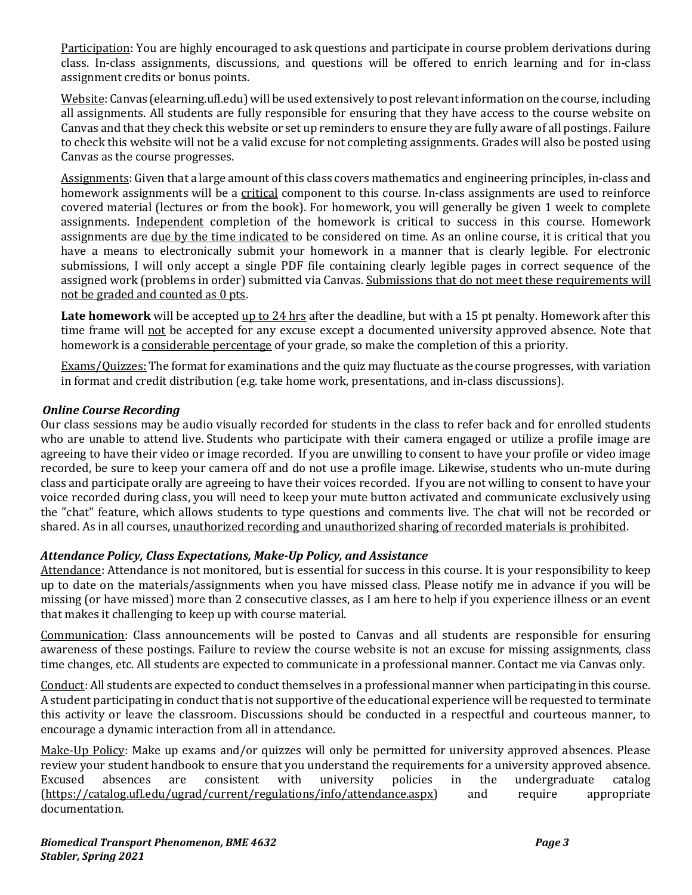Participation: You are highly encouraged to ask questions and participate in course problem derivations during class. In-class assignments, discussions, and questions will be offered to enrich learning and for in-class assignment credits or bonus points.

Website: Canvas (elearning.ufl.edu) will be used extensively to post relevant information on the course, including all assignments. All students are fully responsible for ensuring that they have access to the course website on Canvas and that they check this website or set up reminders to ensure they are fully aware of all postings. Failure to check this website will not be a valid excuse for not completing assignments. Grades will also be posted using Canvas as the course progresses.

Assignments: Given that a large amount of this class covers mathematics and engineering principles, in-class and homework assignments will be a critical component to this course. In-class assignments are used to reinforce covered material (lectures or from the book). For homework, you will generally be given 1 week to complete assignments. Independent completion of the homework is critical to success in this course. Homework assignments are due by the time indicated to be considered on time. As an online course, it is critical that you have a means to electronically submit your homework in a manner that is clearly legible. For electronic submissions, I will only accept a single PDF file containing clearly legible pages in correct sequence of the assigned work (problems in order) submitted via Canvas. Submissions that do not meet these requirements will not be graded and counted as 0 pts.

Late homework will be accepted up to 24 hrs after the deadline, but with a 15 pt penalty. Homework after this time frame will not be accepted for any excuse except a documented university approved absence. Note that homework is a considerable percentage of your grade, so make the completion of this a priority.

Exams/Quizzes: The format for examinations and the quiz may fluctuate as the course progresses, with variation in format and credit distribution (e.g. take home work, presentations, and in-class discussions).

# *Online Course Recording*

Our class sessions may be audio visually recorded for students in the class to refer back and for enrolled students who are unable to attend live. Students who participate with their camera engaged or utilize a profile image are agreeing to have their video or image recorded. If you are unwilling to consent to have your profile or video image recorded, be sure to keep your camera off and do not use a profile image. Likewise, students who un-mute during class and participate orally are agreeing to have their voices recorded. If you are not willing to consent to have your voice recorded during class, you will need to keep your mute button activated and communicate exclusively using the "chat" feature, which allows students to type questions and comments live. The chat will not be recorded or shared. As in all courses, unauthorized recording and unauthorized sharing of recorded materials is prohibited.

## *Attendance Policy, Class Expectations, Make-Up Policy, and Assistance*

Attendance: Attendance is not monitored, but is essential for success in this course. It is your responsibility to keep up to date on the materials/assignments when you have missed class. Please notify me in advance if you will be missing (or have missed) more than 2 consecutive classes, as I am here to help if you experience illness or an event that makes it challenging to keep up with course material.

Communication: Class announcements will be posted to Canvas and all students are responsible for ensuring awareness of these postings. Failure to review the course website is not an excuse for missing assignments, class time changes, etc. All students are expected to communicate in a professional manner. Contact me via Canvas only.

Conduct: All students are expected to conduct themselves in a professional manner when participating in this course. A student participating in conduct that is not supportive of the educational experience will be requested to terminate this activity or leave the classroom. Discussions should be conducted in a respectful and courteous manner, to encourage a dynamic interaction from all in attendance.

Make-Up Policy: Make up exams and/or quizzes will only be permitted for university approved absences. Please review your student handbook to ensure that you understand the requirements for a university approved absence.<br>Excused absences are consistent with university policies in the undergraduate catalog Excused absences are consistent with university policies in the undergraduate catalog [\(https://catalog.ufl.edu/ugrad/current/regulations/info/attendance.aspx\)](https://catalog.ufl.edu/ugrad/current/regulations/info/attendance.aspx) and require appropriate documentation.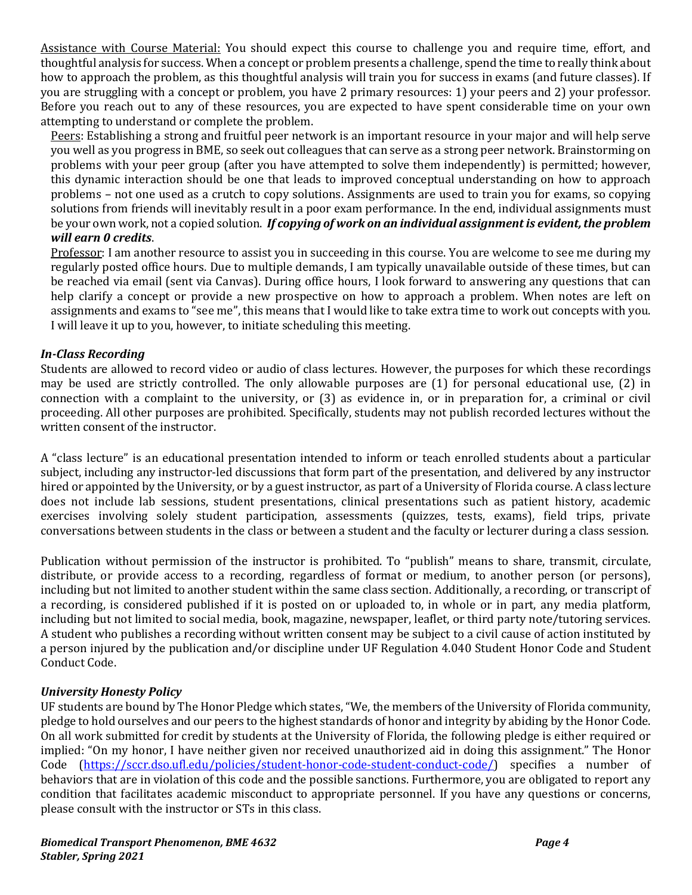Assistance with Course Material: You should expect this course to challenge you and require time, effort, and thoughtful analysis for success. When a concept or problem presents a challenge, spend the time to really think about how to approach the problem, as this thoughtful analysis will train you for success in exams (and future classes). If you are struggling with a concept or problem, you have 2 primary resources: 1) your peers and 2) your professor. Before you reach out to any of these resources, you are expected to have spent considerable time on your own attempting to understand or complete the problem.

Peers: Establishing a strong and fruitful peer network is an important resource in your major and will help serve you well as you progress in BME, so seek out colleagues that can serve as a strong peer network. Brainstorming on problems with your peer group (after you have attempted to solve them independently) is permitted; however, this dynamic interaction should be one that leads to improved conceptual understanding on how to approach problems – not one used as a crutch to copy solutions. Assignments are used to train you for exams, so copying solutions from friends will inevitably result in a poor exam performance. In the end, individual assignments must be your own work, not a copied solution. *If copying of work on an individual assignment is evident, the problem will earn 0 credits*.

Professor: I am another resource to assist you in succeeding in this course. You are welcome to see me during my regularly posted office hours. Due to multiple demands, I am typically unavailable outside of these times, but can be reached via email (sent via Canvas). During office hours, I look forward to answering any questions that can help clarify a concept or provide a new prospective on how to approach a problem. When notes are left on assignments and exams to "see me", this means that I would like to take extra time to work out concepts with you. I will leave it up to you, however, to initiate scheduling this meeting.

# *In-Class Recording*

Students are allowed to record video or audio of class lectures. However, the purposes for which these recordings may be used are strictly controlled. The only allowable purposes are (1) for personal educational use, (2) in connection with a complaint to the university, or (3) as evidence in, or in preparation for, a criminal or civil proceeding. All other purposes are prohibited. Specifically, students may not publish recorded lectures without the written consent of the instructor.

A "class lecture" is an educational presentation intended to inform or teach enrolled students about a particular subject, including any instructor-led discussions that form part of the presentation, and delivered by any instructor hired or appointed by the University, or by a guest instructor, as part of a University of Florida course. A class lecture does not include lab sessions, student presentations, clinical presentations such as patient history, academic exercises involving solely student participation, assessments (quizzes, tests, exams), field trips, private conversations between students in the class or between a student and the faculty or lecturer during a class session.

Publication without permission of the instructor is prohibited. To "publish" means to share, transmit, circulate, distribute, or provide access to a recording, regardless of format or medium, to another person (or persons), including but not limited to another student within the same class section. Additionally, a recording, or transcript of a recording, is considered published if it is posted on or uploaded to, in whole or in part, any media platform, including but not limited to social media, book, magazine, newspaper, leaflet, or third party note/tutoring services. A student who publishes a recording without written consent may be subject to a civil cause of action instituted by a person injured by the publication and/or discipline under UF Regulation 4.040 Student Honor Code and Student Conduct Code.

## *University Honesty Policy*

UF students are bound by The Honor Pledge which states, "We, the members of the University of Florida community, pledge to hold ourselves and our peers to the highest standards of honor and integrity by abiding by the Honor Code. On all work submitted for credit by students at the University of Florida, the following pledge is either required or implied: "On my honor, I have neither given nor received unauthorized aid in doing this assignment." The Honor Code [\(https://sccr.dso.ufl.edu/policies/student-honor-code-student-conduct-code/\)](https://sccr.dso.ufl.edu/policies/student-honor-code-student-conduct-code/) specifies a number of behaviors that are in violation of this code and the possible sanctions. Furthermore, you are obligated to report any condition that facilitates academic misconduct to appropriate personnel. If you have any questions or concerns, please consult with the instructor or STs in this class.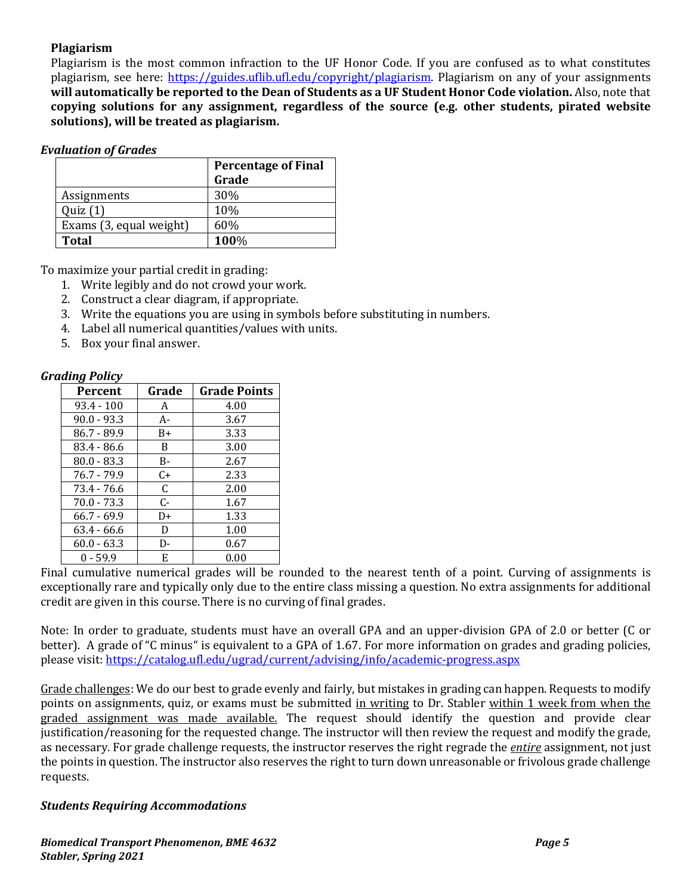## **Plagiarism**

Plagiarism is the most common infraction to the UF Honor Code. If you are confused as to what constitutes plagiarism, see here: [https://guides.uflib.ufl.edu/copyright/plagiarism.](https://guides.uflib.ufl.edu/copyright/plagiarism) Plagiarism on any of your assignments **will automatically be reported to the Dean of Students as a UF Student Honor Code violation.** Also, note that **copying solutions for any assignment, regardless of the source (e.g. other students, pirated website solutions), will be treated as plagiarism.**

#### *Evaluation of Grades*

|                         | <b>Percentage of Final</b> |  |
|-------------------------|----------------------------|--|
|                         | Grade                      |  |
| Assignments             | 30%                        |  |
| Quiz(1)                 | 10%                        |  |
| Exams (3, equal weight) | 60%                        |  |
| <b>Total</b>            | 100%                       |  |

To maximize your partial credit in grading:

- 1. Write legibly and do not crowd your work.
- 2. Construct a clear diagram, if appropriate.
- 3. Write the equations you are using in symbols before substituting in numbers.
- 4. Label all numerical quantities/values with units.
- 5. Box your final answer.

## *Grading Policy*

| Percent       | Grade | <b>Grade Points</b> |
|---------------|-------|---------------------|
| $93.4 - 100$  | A     | 4.00                |
| $90.0 - 93.3$ | A-    | 3.67                |
| 86.7 - 89.9   | B+    | 3.33                |
| 83.4 - 86.6   | B     | 3.00                |
| $80.0 - 83.3$ | B-    | 2.67                |
| $76.7 - 79.9$ | C+    | 2.33                |
| 73.4 - 76.6   | C     | 2.00                |
| $70.0 - 73.3$ | $C-$  | 1.67                |
| $66.7 - 69.9$ | D+    | 1.33                |
| $63.4 - 66.6$ | D     | 1.00                |
| $60.0 - 63.3$ | D-    | 0.67                |
| $0 - 59.9$    | Е     | 0.00                |

Final cumulative numerical grades will be rounded to the nearest tenth of a point. Curving of assignments is exceptionally rare and typically only due to the entire class missing a question. No extra assignments for additional credit are given in this course. There is no curving of final grades.

Note: In order to graduate, students must have an overall GPA and an upper-division GPA of 2.0 or better (C or better). A grade of "C minus" is equivalent to a GPA of 1.67. For more information on grades and grading policies, please visit:<https://catalog.ufl.edu/ugrad/current/advising/info/academic-progress.aspx>

Grade challenges: We do our best to grade evenly and fairly, but mistakes in grading can happen. Requests to modify points on assignments, quiz, or exams must be submitted in writing to Dr. Stabler within 1 week from when the graded assignment was made available. The request should identify the question and provide clear justification/reasoning for the requested change. The instructor will then review the request and modify the grade, as necessary. For grade challenge requests, the instructor reserves the right regrade the *entire* assignment, not just the points in question. The instructor also reserves the right to turn down unreasonable or frivolous grade challenge requests.

## *Students Requiring Accommodations*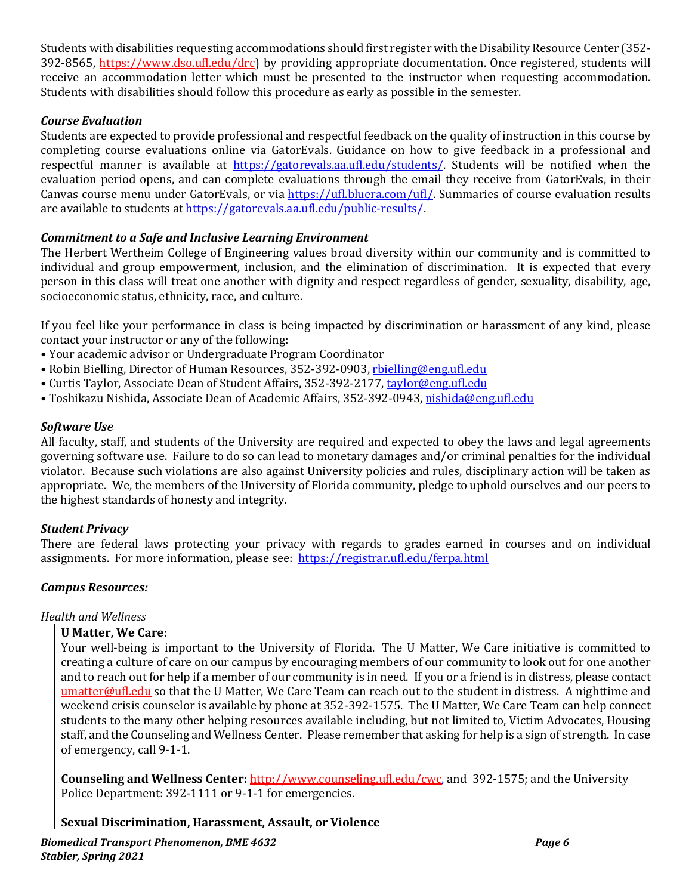Students with disabilities requesting accommodations should first register with the Disability Resource Center (352- 392-8565, https://www.dso.ufl.edu/drc) by providing appropriate documentation. Once registered, students will receive an accommodation letter which must be presented to the instructor when requesting accommodation. Students with disabilities should follow this procedure as early as possible in the semester.

# *Course Evaluation*

Students are expected to provide professional and respectful feedback on the quality of instruction in this course by completing course evaluations online via GatorEvals. Guidance on how to give feedback in a professional and respectful manner is available at [https://gatorevals.aa.ufl.edu/students/.](https://gatorevals.aa.ufl.edu/students/) Students will be notified when the evaluation period opens, and can complete evaluations through the email they receive from GatorEvals, in their Canvas course menu under GatorEvals, or via [https://ufl.bluera.com/ufl/.](https://ufl.bluera.com/ufl/) Summaries of course evaluation results are available to students a[t https://gatorevals.aa.ufl.edu/public-results/.](https://gatorevals.aa.ufl.edu/public-results/)

# *Commitment to a Safe and Inclusive Learning Environment*

The Herbert Wertheim College of Engineering values broad diversity within our community and is committed to individual and group empowerment, inclusion, and the elimination of discrimination. It is expected that every person in this class will treat one another with dignity and respect regardless of gender, sexuality, disability, age, socioeconomic status, ethnicity, race, and culture.

If you feel like your performance in class is being impacted by discrimination or harassment of any kind, please contact your instructor or any of the following:

- Your academic advisor or Undergraduate Program Coordinator
- Robin Bielling, Director of Human Resources, 352-392-0903, [rbielling@eng.ufl.edu](mailto:rbielling@eng.ufl.edu)
- Curtis Taylor, Associate Dean of Student Affairs, 352-392-2177[, taylor@eng.ufl.edu](mailto:taylor@eng.ufl.edu)
- Toshikazu Nishida, Associate Dean of Academic Affairs, 352-392-0943[, nishida@eng.ufl.edu](mailto:nishida@eng.ufl.edu)

## *Software Use*

All faculty, staff, and students of the University are required and expected to obey the laws and legal agreements governing software use. Failure to do so can lead to monetary damages and/or criminal penalties for the individual violator. Because such violations are also against University policies and rules, disciplinary action will be taken as appropriate. We, the members of the University of Florida community, pledge to uphold ourselves and our peers to the highest standards of honesty and integrity.

## *Student Privacy*

There are federal laws protecting your privacy with regards to grades earned in courses and on individual assignments. For more information, please see: <https://registrar.ufl.edu/ferpa.html>

## *Campus Resources:*

## *Health and Wellness*

## **U Matter, We Care:**

Your well-being is important to the University of Florida. The U Matter, We Care initiative is committed to creating a culture of care on our campus by encouraging members of our community to look out for one another and to reach out for help if a member of our community is in need. If you or a friend is in distress, please contact [umatter@ufl.edu](mailto:umatter@ufl.edu) so that the U Matter, We Care Team can reach out to the student in distress. A nighttime and weekend crisis counselor is available by phone at 352-392-1575. The U Matter, We Care Team can help connect students to the many other helping resources available including, but not limited to, Victim Advocates, Housing staff, and the Counseling and Wellness Center. Please remember that asking for help is a sign of strength. In case of emergency, call 9-1-1.

**Counseling and Wellness Center:** [http://www.counseling.ufl.edu/cwc,](http://www.counseling.ufl.edu/cwc) and 392-1575; and the University Police Department: 392-1111 or 9-1-1 for emergencies.

#### **Sexual Discrimination, Harassment, Assault, or Violence**

*Biomedical Transport Phenomenon, BME 4632 Page 6 Stabler, Spring 2021*